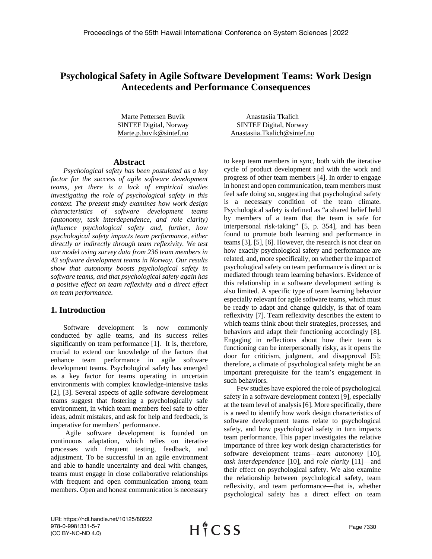# **Psychological Safety in Agile Software Development Teams: Work Design Antecedents and Performance Consequences**

Marte Pettersen Buvik SINTEF Digital, Norway Marte.p.buvik@sintef.no

#### **Abstract**

*Psychological safety has been postulated as a key factor for the success of agile software development teams, yet there is a lack of empirical studies investigating the role of psychological safety in this context. The present study examines how work design characteristics of software development teams (autonomy, task interdependence, and role clarity) influence psychological safety and, further, how psychological safety impacts team performance, either directly or indirectly through team reflexivity. We test our model using survey data from 236 team members in 43 software development teams in Norway. Our results show that autonomy boosts psychological safety in software teams, and that psychological safety again has a positive effect on team reflexivity and a direct effect on team performance.*

## **1. Introduction**

Software development is now commonly conducted by agile teams, and its success relies significantly on team performance [1]. It is, therefore, crucial to extend our knowledge of the factors that enhance team performance in agile software development teams. Psychological safety has emerged as a key factor for teams operating in uncertain environments with complex knowledge-intensive tasks [2], [3]. Several aspects of agile software development teams suggest that fostering a psychologically safe environment, in which team members feel safe to offer ideas, admit mistakes, and ask for help and feedback, is imperative for members' performance.

Agile software development is founded on continuous adaptation, which relies on iterative processes with frequent testing, feedback, and adjustment. To be successful in an agile environment and able to handle uncertainty and deal with changes, teams must engage in close collaborative relationships with frequent and open communication among team members. Open and honest communication is necessary

Anastasiia Tkalich SINTEF Digital, Norway Anastasiia.Tkalich@sintef.no

to keep team members in sync, both with the iterative cycle of product development and with the work and progress of other team members [4]. In order to engage in honest and open communication, team members must feel safe doing so, suggesting that psychological safety is a necessary condition of the team climate. Psychological safety is defined as "a shared belief held by members of a team that the team is safe for interpersonal risk-taking" [5, p. 354], and has been found to promote both learning and performance in teams [3], [5], [6]. However, the research is not clear on how exactly psychological safety and performance are related, and, more specifically, on whether the impact of psychological safety on team performance is direct or is mediated through team learning behaviors. Evidence of this relationship in a software development setting is also limited. A specific type of team learning behavior especially relevant for agile software teams, which must be ready to adapt and change quickly, is that of team reflexivity [7]. Team reflexivity describes the extent to which teams think about their strategies, processes, and behaviors and adapt their functioning accordingly [8]. Engaging in reflections about how their team is functioning can be interpersonally risky, as it opens the door for criticism, judgment, and disapproval [5]; therefore, a climate of psychological safety might be an important prerequisite for the team's engagement in such behaviors.

Few studies have explored the role of psychological safety in a software development context [9], especially at the team level of analysis [6]. More specifically, there is a need to identify how work design characteristics of software development teams relate to psychological safety, and how psychological safety in turn impacts team performance. This paper investigates the relative importance of three key work design characteristics for software development teams—*team autonomy* [10], *task interdependence* [10], and *role clarity* [11]—and their effect on psychological safety. We also examine the relationship between psychological safety, team reflexivity, and team performance—that is, whether psychological safety has a direct effect on team

URI: https://hdl.handle.net/10125/80222 978-0-9981331-5-7 (CC BY-NC-ND 4.0)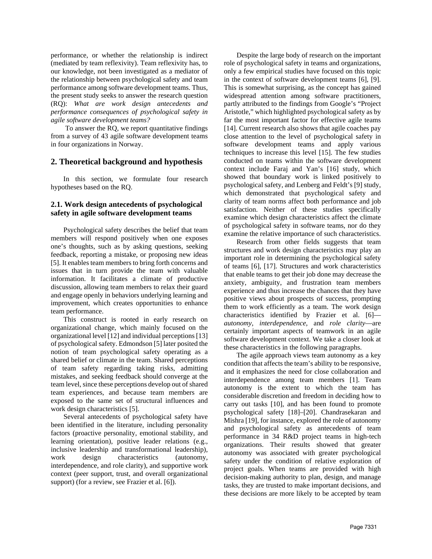performance, or whether the relationship is indirect (mediated by team reflexivity). Team reflexivity has, to our knowledge, not been investigated as a mediator of the relationship between psychological safety and team performance among software development teams. Thus, the present study seeks to answer the research question (RQ): *What are work design antecedents and performance consequences of psychological safety in agile software development teams?*

 To answer the RQ, we report quantitative findings from a survey of 43 agile software development teams in four organizations in Norway.

#### **2. Theoretical background and hypothesis**

In this section, we formulate four research hypotheses based on the RQ.

## **2.1. Work design antecedents of psychological safety in agile software development teams**

Psychological safety describes the belief that team members will respond positively when one exposes one's thoughts, such as by asking questions, seeking feedback, reporting a mistake, or proposing new ideas [5]. It enables team members to bring forth concerns and issues that in turn provide the team with valuable information. It facilitates a climate of productive discussion, allowing team members to relax their guard and engage openly in behaviors underlying learning and improvement, which creates opportunities to enhance team performance.

This construct is rooted in early research on organizational change, which mainly focused on the organizational level [12] and individual perceptions [13] of psychological safety. Edmondson [5] later posited the notion of team psychological safety operating as a shared belief or climate in the team. Shared perceptions of team safety regarding taking risks, admitting mistakes, and seeking feedback should converge at the team level, since these perceptions develop out of shared team experiences, and because team members are exposed to the same set of structural influences and work design characteristics [5].

Several antecedents of psychological safety have been identified in the literature, including personality factors (proactive personality, emotional stability, and learning orientation), positive leader relations (e.g., inclusive leadership and transformational leadership), work design characteristics (autonomy, interdependence, and role clarity), and supportive work context (peer support, trust, and overall organizational support) (for a review, see Frazier et al. [6]).

Despite the large body of research on the important role of psychological safety in teams and organizations, only a few empirical studies have focused on this topic in the context of software development teams [6], [9]. This is somewhat surprising, as the concept has gained widespread attention among software practitioners, partly attributed to the findings from Google's "Project Aristotle," which highlighted psychological safety as by far the most important factor for effective agile teams [14]. Current research also shows that agile coaches pay close attention to the level of psychological safety in software development teams and apply various techniques to increase this level [15]. The few studies conducted on teams within the software development context include Faraj and Yan's [16] study, which showed that boundary work is linked positively to psychological safety, and Lenberg and Feldt's [9] study, which demonstrated that psychological safety and clarity of team norms affect both performance and job satisfaction. Neither of these studies specifically examine which design characteristics affect the climate of psychological safety in software teams, nor do they examine the relative importance of such characteristics.

Research from other fields suggests that team structures and work design characteristics may play an important role in determining the psychological safety of teams [6], [17]. Structures and work characteristics that enable teams to get their job done may decrease the anxiety, ambiguity, and frustration team members experience and thus increase the chances that they have positive views about prospects of success, prompting them to work efficiently as a team. The work design characteristics identified by Frazier et al. [6] *autonomy*, *interdependence,* and *role clarity*—are certainly important aspects of teamwork in an agile software development context. We take a closer look at these characteristics in the following paragraphs.

The agile approach views team autonomy as a key condition that affects the team's ability to be responsive, and it emphasizes the need for close collaboration and interdependence among team members [1]. Team autonomy is the extent to which the team has considerable discretion and freedom in deciding how to carry out tasks [10], and has been found to promote psychological safety [18]–[20]. Chandrasekaran and Mishra [19], for instance, explored the role of autonomy and psychological safety as antecedents of team performance in 34 R&D project teams in high-tech organizations. Their results showed that greater autonomy was associated with greater psychological safety under the condition of relative exploration of project goals. When teams are provided with high decision-making authority to plan, design, and manage tasks, they are trusted to make important decisions, and these decisions are more likely to be accepted by team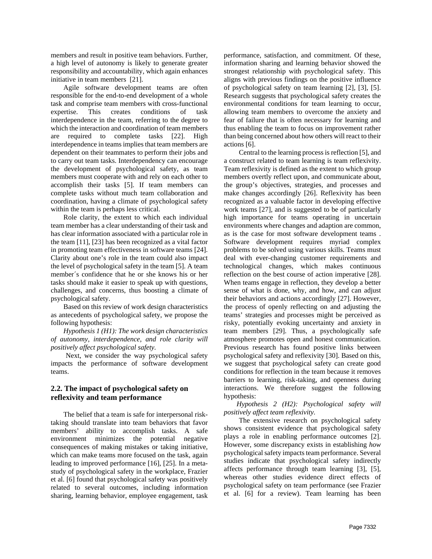members and result in positive team behaviors. Further, a high level of autonomy is likely to generate greater responsibility and accountability, which again enhances initiative in team members [21].

Agile software development teams are often responsible for the end-to-end development of a whole task and comprise team members with cross-functional expertise. This creates conditions of task interdependence in the team, referring to the degree to which the interaction and coordination of team members are required to complete tasks [22]. High interdependence in teams implies that team members are dependent on their teammates to perform their jobs and to carry out team tasks. Interdependency can encourage the development of psychological safety, as team members must cooperate with and rely on each other to accomplish their tasks [5]. If team members can complete tasks without much team collaboration and coordination, having a climate of psychological safety within the team is perhaps less critical.

Role clarity, the extent to which each individual team member has a clear understanding of their task and has clear information associated with a particular role in the team [11], [23] has been recognized as a vital factor in promoting team effectiveness in software teams [24]. Clarity about one's role in the team could also impact the level of psychological safety in the team [5]. A team member´s confidence that he or she knows his or her tasks should make it easier to speak up with questions, challenges, and concerns, thus boosting a climate of psychological safety.

Based on this review of work design characteristics as antecedents of psychological safety, we propose the following hypothesis:

*Hypothesis 1 (H1): The work design characteristics of autonomy, interdependence, and role clarity will positively affect psychological safety.* 

Next, we consider the way psychological safety impacts the performance of software development teams.

#### **2.2. The impact of psychological safety on reflexivity and team performance**

The belief that a team is safe for interpersonal risktaking should translate into team behaviors that favor members' ability to accomplish tasks. A safe environment minimizes the potential negative consequences of making mistakes or taking initiative, which can make teams more focused on the task, again leading to improved performance [16], [25]. In a metastudy of psychological safety in the workplace, Frazier et al. [6] found that psychological safety was positively related to several outcomes, including information sharing, learning behavior, employee engagement, task

performance, satisfaction, and commitment. Of these, information sharing and learning behavior showed the strongest relationship with psychological safety. This aligns with previous findings on the positive influence of psychological safety on team learning [2], [3], [5]. Research suggests that psychological safety creates the environmental conditions for team learning to occur, allowing team members to overcome the anxiety and fear of failure that is often necessary for learning and thus enabling the team to focus on improvement rather than being concerned about how others will react to their actions [6].

Central to the learning process is reflection [5], and a construct related to team learning is team reflexivity. Team reflexivity is defined as the extent to which group members overtly reflect upon, and communicate about, the group's objectives, strategies, and processes and make changes accordingly [26]. Reflexivity has been recognized as a valuable factor in developing effective work teams [27], and is suggested to be of particularly high importance for teams operating in uncertain environments where changes and adaption are common, as is the case for most software development teams . Software development requires myriad complex problems to be solved using various skills. Teams must deal with ever-changing customer requirements and technological changes, which makes continuous reflection on the best course of action imperative [28]. When teams engage in reflection, they develop a better sense of what is done, why, and how, and can adjust their behaviors and actions accordingly [27]. However, the process of openly reflecting on and adjusting the teams' strategies and processes might be perceived as risky, potentially evoking uncertainty and anxiety in team members [29]. Thus, a psychologically safe atmosphere promotes open and honest communication. Previous research has found positive links between psychological safety and reflexivity [30]. Based on this, we suggest that psychological safety can create good conditions for reflection in the team because it removes barriers to learning, risk-taking, and openness during interactions. We therefore suggest the following hypothesis:

*Hypothesis 2 (H2): Psychological safety will positively affect team reflexivity.* 

The extensive research on psychological safety shows consistent evidence that psychological safety plays a role in enabling performance outcomes [2]. However, some discrepancy exists in establishing *how* psychological safety impacts team performance. Several studies indicate that psychological safety indirectly affects performance through team learning [3], [5], whereas other studies evidence direct effects of psychological safety on team performance (see Frazier et al. [6] for a review). Team learning has been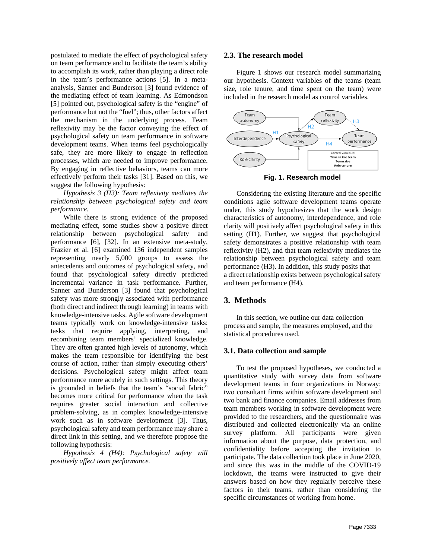postulated to mediate the effect of psychological safety on team performance and to facilitate the team's ability to accomplish its work, rather than playing a direct role in the team's performance actions [5]. In a metaanalysis, Sanner and Bunderson [3] found evidence of the mediating effect of team learning. As Edmondson [5] pointed out, psychological safety is the "engine" of performance but not the "fuel"; thus, other factors affect the mechanism in the underlying process. Team reflexivity may be the factor conveying the effect of psychological safety on team performance in software development teams. When teams feel psychologically safe, they are more likely to engage in reflection processes, which are needed to improve performance. By engaging in reflective behaviors, teams can more effectively perform their tasks [31]. Based on this, we suggest the following hypothesis:

*Hypothesis 3 (H3): Team reflexivity mediates the relationship between psychological safety and team performance.* 

While there is strong evidence of the proposed mediating effect, some studies show a positive direct relationship between psychological safety and performance [6], [32]. In an extensive meta-study, Frazier et al. [6] examined 136 independent samples representing nearly 5,000 groups to assess the antecedents and outcomes of psychological safety, and found that psychological safety directly predicted incremental variance in task performance. Further, Sanner and Bunderson [3] found that psychological safety was more strongly associated with performance (both direct and indirect through learning) in teams with knowledge-intensive tasks. Agile software development teams typically work on knowledge-intensive tasks: tasks that require applying, interpreting, and recombining team members' specialized knowledge. They are often granted high levels of autonomy, which makes the team responsible for identifying the best course of action, rather than simply executing others' decisions. Psychological safety might affect team performance more acutely in such settings. This theory is grounded in beliefs that the team's "social fabric" becomes more critical for performance when the task requires greater social interaction and collective problem-solving, as in complex knowledge-intensive work such as in software development [3]. Thus, psychological safety and team performance may share a direct link in this setting, and we therefore propose the following hypothesis:

*Hypothesis 4 (H4): Psychological safety will positively affect team performance.* 

#### **2.3. The research model**

Figure 1 shows our research model summarizing our hypothesis. Context variables of the teams (team size, role tenure, and time spent on the team) were included in the research model as control variables.



**Fig. 1. Research model**

Considering the existing literature and the specific conditions agile software development teams operate under, this study hypothesizes that the work design characteristics of autonomy, interdependence, and role clarity will positively affect psychological safety in this setting (H1). Further, we suggest that psychological safety demonstrates a positive relationship with team reflexivity (H2), and that team reflexivity mediates the relationship between psychological safety and team performance (H3). In addition, this study posits that a direct relationship exists between psychological safety and team performance (H4).

## **3. Methods**

In this section, we outline our data collection process and sample, the measures employed, and the statistical procedures used.

#### **3.1. Data collection and sample**

To test the proposed hypotheses, we conducted a quantitative study with survey data from software development teams in four organizations in Norway: two consultant firms within software development and two bank and finance companies. Email addresses from team members working in software development were provided to the researchers, and the questionnaire was distributed and collected electronically via an online survey platform. All participants were given information about the purpose, data protection, and confidentiality before accepting the invitation to participate. The data collection took place in June 2020, and since this was in the middle of the COVID-19 lockdown, the teams were instructed to give their answers based on how they regularly perceive these factors in their teams, rather than considering the specific circumstances of working from home.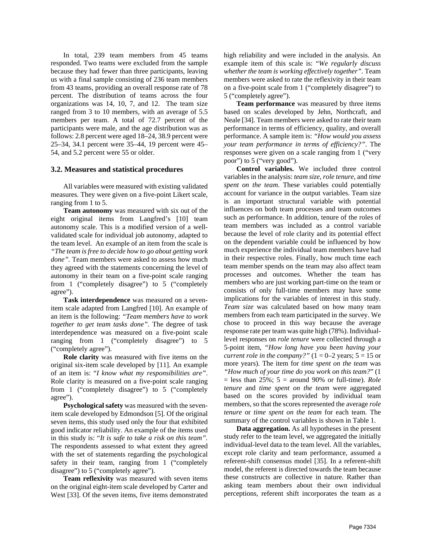In total, 239 team members from 45 teams responded. Two teams were excluded from the sample because they had fewer than three participants, leaving us with a final sample consisting of 236 team members from 43 teams, providing an overall response rate of 78 percent. The distribution of teams across the four organizations was 14, 10, 7, and 12. The team size ranged from 3 to 10 members, with an average of 5.5 members per team. A total of 72.7 percent of the participants were male, and the age distribution was as follows: 2.8 percent were aged 18–24, 38.9 percent were 25–34, 34.1 percent were 35–44, 19 percent were 45– 54, and 5.2 percent were 55 or older.

#### **3.2. Measures and statistical procedures**

All variables were measured with existing validated measures. They were given on a five-point Likert scale, ranging from 1 to 5.

**Team autonomy** was measured with six out of the eight original items from Langfred's [10] team autonomy scale. This is a modified version of a wellvalidated scale for individual job autonomy, adapted to the team level. An example of an item from the scale is

*"The team is free to decide how to go about getting work done".* Team members were asked to assess how much they agreed with the statements concerning the level of autonomy in their team on a five-point scale ranging from 1 ("completely disagree") to 5 ("completely agree").

**Task interdependence** was measured on a sevenitem scale adapted from Langfred [10]. An example of an item is the following: *"Team members have to work together to get team tasks done".* The degree of task interdependence was measured on a five-point scale ranging from 1 ("completely disagree") to 5 ("completely agree").

**Role clarity** was measured with five items on the original six-item scale developed by [11]. An example of an item is: "*I know what my responsibilities are"*. Role clarity is measured on a five-point scale ranging from 1 ("completely disagree") to 5 ("completely agree").

**Psychological safety** was measured with the sevenitem scale developed by Edmondson [5]. Of the original seven items, this study used only the four that exhibited good indicator reliability. An example of the items used in this study is: "*It is safe to take a risk on this team".* The respondents assessed to what extent they agreed with the set of statements regarding the psychological safety in their team, ranging from 1 ("completely disagree") to 5 ("completely agree").

**Team reflexivity** was measured with seven items on the original eight-item scale developed by Carter and West [33]. Of the seven items, five items demonstrated

high reliability and were included in the analysis. An example item of this scale is: "*We regularly discuss whether the team is working effectively together".* Team members were asked to rate the reflexivity in their team on a five-point scale from 1 ("completely disagree") to 5 ("completely agree").

**Team performance** was measured by three items based on scales developed by Jehn, Northcraft, and Neale [34]. Team members were asked to rate their team performance in terms of efficiency, quality, and overall performance. A sample item is: *"How would you assess your team performance in terms of efficiency?"*. The responses were given on a scale ranging from 1 ("very poor") to 5 ("very good").

**Control variables.** We included three control variables in the analysis: *team size*, *role tenure,* and *time spent on the team*. These variables could potentially account for variance in the output variables. Team size is an important structural variable with potential influences on both team processes and team outcomes such as performance. In addition, tenure of the roles of team members was included as a control variable because the level of role clarity and its potential effect on the dependent variable could be influenced by how much experience the individual team members have had in their respective roles. Finally, how much time each team member spends on the team may also affect team processes and outcomes. Whether the team has members who are just working part-time on the team or consists of only full-time members may have some implications for the variables of interest in this study. *Team size* was calculated based on how many team members from each team participated in the survey. We chose to proceed in this way because the average response rate per team was quite high (78%). Individuallevel responses on *role tenure* were collected through a 5-point item, *"How long have you been having your current role in the company?"*  $(1 = 0-2 \text{ years}; 5 = 15 \text{ or } 1)$ more years). The item for *time spent on the team* was *"How much of your time do you work on this team?*" (1  $=$  less than 25%;  $5 =$  around 90% or full-time). *Role tenure* and *time spent on the team* were aggregated based on the scores provided by individual team members, so that the scores represented the average *role tenure* or *time spent on the team* for each team. The summary of the control variables is shown in Table 1.

**Data aggregation.** As all hypotheses in the present study refer to the team level, we aggregated the initially individual-level data to the team level. All the variables, except role clarity and team performance, assumed a referent-shift consensus model [35]. In a referent-shift model, the referent is directed towards the team because these constructs are collective in nature. Rather than asking team members about their own individual perceptions, referent shift incorporates the team as a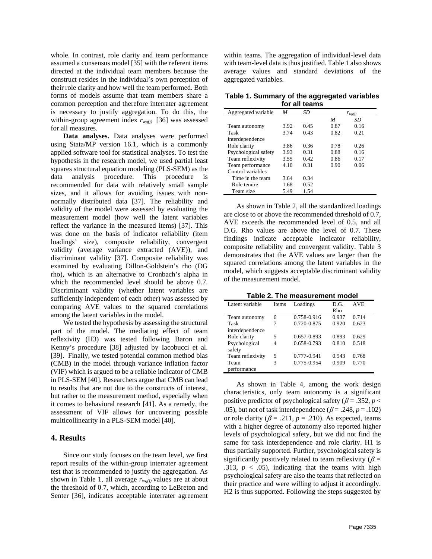whole. In contrast, role clarity and team performance assumed a consensus model [35] with the referent items directed at the individual team members because the construct resides in the individual's own perception of their role clarity and how well the team performed. Both forms of models assume that team members share a common perception and therefore interrater agreement is necessary to justify aggregation. To do this, the within-group agreement index  $r_{wg(j)}$  [36] was assessed for all measures.

**Data analyses.** Data analyses were performed using Stata/MP version 16.1, which is a commonly applied software tool for statistical analyses. To test the hypothesis in the research model, we used partial least squares structural equation modeling (PLS-SEM) as the data analysis procedure. This procedure is recommended for data with relatively small sample sizes, and it allows for avoiding issues with nonnormally distributed data [37]. The reliability and validity of the model were assessed by evaluating the measurement model (how well the latent variables reflect the variance in the measured items) [37]. This was done on the basis of indicator reliability (item loadings' size), composite reliability, convergent validity (average variance extracted (AVE)), and discriminant validity [37]. Composite reliability was examined by evaluating Dillon-Goldstein's rho (DG rho), which is an alternative to Cronbach's alpha in which the recommended level should be above 0.7. Discriminant validity (whether latent variables are sufficiently independent of each other) was assessed by comparing AVE values to the squared correlations among the latent variables in the model.

We tested the hypothesis by assessing the structural part of the model. The mediating effect of team reflexivity (H3) was tested following Baron and Kenny's procedure [38] adjusted by Iacobucci et al. [39]. Finally, we tested potential common method bias (CMB) in the model through variance inflation factor (VIF) which is argued to be a reliable indicator of CMB in PLS-SEM [40]. Researchers argue that CMB can lead to results that are not due to the constructs of interest, but rather to the measurement method, especially when it comes to behavioral research [41]. As a remedy, the assessment of VIF allows for uncovering possible multicollinearity in a PLS-SEM model [40].

#### **4. Results**

Since our study focuses on the team level, we first report results of the within-group interrater agreement test that is recommended to justify the aggregation. As shown in Table 1, all average  $r_{wg(j)}$  values are at about the threshold of 0.7, which, according to LeBreton and Senter [36], indicates acceptable interrater agreement

within teams. The aggregation of individual-level data with team-level data is thus justified. Table 1 also shows average values and standard deviations of the aggregated variables.

**Table 1. Summary of the aggregated variables for all teams**

| Aggregated variable  | M    | SD   |      | $r_{wg(j)}$ |  |
|----------------------|------|------|------|-------------|--|
|                      |      |      | M    | SD          |  |
| Team autonomy        | 3.92 | 0.45 | 0.87 | 0.16        |  |
| Task                 | 3.74 | 0.43 | 0.82 | 0.21        |  |
| interdependence      |      |      |      |             |  |
| Role clarity         | 3.86 | 0.36 | 0.78 | 0.26        |  |
| Psychological safety | 3.93 | 0.31 | 0.88 | 0.16        |  |
| Team reflexivity     | 3.55 | 0.42 | 0.86 | 0.17        |  |
| Team performance     | 4.10 | 0.31 | 0.90 | 0.06        |  |
| Control variables    |      |      |      |             |  |
| Time in the team     | 3.64 | 0.34 |      |             |  |
| Role tenure          | 1.68 | 0.52 |      |             |  |
| Team size            | 5.49 | 1.54 |      |             |  |

As shown in Table 2, all the standardized loadings are close to or above the recommended threshold of 0.7, AVE exceeds the recommended level of 0.5, and all D.G. Rho values are above the level of 0.7. These findings indicate acceptable indicator reliability, composite reliability and convergent validity. Table 3 demonstrates that the AVE values are larger than the squared correlations among the latent variables in the model, which suggests acceptable discriminant validity of the measurement model.

**Table 2. The measurement model**

| Latent variable  | <b>Items</b> | Loadings    | D.G.<br>Rho | AVE   |
|------------------|--------------|-------------|-------------|-------|
| Team autonomy    | 6            | 0.758-0.916 | 0.937       | 0.714 |
| Task             | 7            | 0.720-0.875 | 0.920       | 0.623 |
| interdependence  |              |             |             |       |
| Role clarity     | 5            | 0.657-0.893 | 0.893       | 0.629 |
| Psychological    | 4            | 0.658-0.793 | 0.810       | 0.518 |
| safety           |              |             |             |       |
| Team reflexivity | 5            | 0.777-0.941 | 0.943       | 0.768 |
| Team             | 3            | 0.775-0.954 | 0.909       | 0.770 |
| performance      |              |             |             |       |

As shown in Table 4, among the work design characteristics, only team autonomy is a significant positive predictor of psychological safety ( $\beta$  = .352,  $p$  < .05), but not of task interdependence ( $\beta$  = .248,  $p$  = .102) or role clarity ( $\beta$  = .211,  $p$  = .210). As expected, teams with a higher degree of autonomy also reported higher levels of psychological safety, but we did not find the same for task interdependence and role clarity. H1 is thus partially supported. Further, psychological safety is significantly positively related to team reflexivity ( $\beta$  = .313,  $p < .05$ ), indicating that the teams with high psychological safety are also the teams that reflected on their practice and were willing to adjust it accordingly. H2 is thus supported. Following the steps suggested by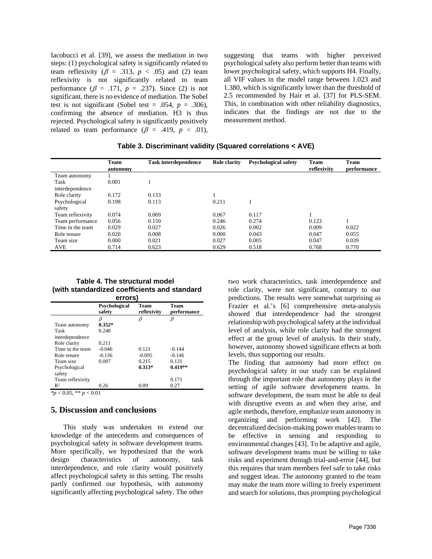Iacobucci et al. [39], we assess the mediation in two steps: (1) psychological safety is significantly related to team reflexivity ( $\beta$  = .313,  $p$  < .05) and (2) team reflexivity is not significantly related to team performance  $(\beta = .171, p = .237)$ . Since (2) is not significant, there is no evidence of mediation. The Sobel test is not significant (Sobel test = .054,  $p = .306$ ), confirming the absence of mediation. H3 is thus rejected. Psychological safety is significantly positively related to team performance ( $\beta$  = .419,  $p < .01$ ), suggesting that teams with higher perceived psychological safety also perform better than teams with lower psychological safety, which supports H4. Finally, all VIF values in the model range between 1.023 and 1.380, which is significantly lower than the threshold of 2.5 recommended by Hair et al. [37] for PLS-SEM. This, in combination with other reliability diagnostics, indicates that the findings are not due to the measurement method.

|                  | <b>Team</b><br>autonomy | <b>Task interdependence</b> | <b>Role clarity</b> | <b>Psychological safety</b> | <b>Team</b><br>reflexivity | <b>Team</b><br>performance |
|------------------|-------------------------|-----------------------------|---------------------|-----------------------------|----------------------------|----------------------------|
| Team autonomy    |                         |                             |                     |                             |                            |                            |
| Task             | 0.001                   |                             |                     |                             |                            |                            |
| interdependence  |                         |                             |                     |                             |                            |                            |
| Role clarity     | 0.172                   | 0.133                       |                     |                             |                            |                            |
| Psychological    | 0.198                   | 0.113                       | 0.211               |                             |                            |                            |
| safety           |                         |                             |                     |                             |                            |                            |
| Team reflexivity | 0.074                   | 0.069                       | 0.067               | 0.117                       |                            |                            |
| Team performance | 0.056                   | 0.150                       | 0.246               | 0.274                       | 0.123                      |                            |
| Time in the team | 0.029                   | 0.027                       | 0.026               | 0.002                       | 0.009                      | 0.022                      |
| Role tenure      | 0.020                   | 0.008                       | 0.000               | 0.043                       | 0.047                      | 0.055                      |
| Team size        | 0.000                   | 0.021                       | 0.027               | 0.005                       | 0.047                      | 0.039                      |
| AVE              | 0.714                   | 0.623                       | 0.629               | 0.518                       | 0.768                      | 0.770                      |

**Table 3. Discriminant validity (Squared correlations < AVE)**

#### **Table 4. The structural model (with standardized coefficients and standard errors)**

| .                |                                |                            |                            |  |
|------------------|--------------------------------|----------------------------|----------------------------|--|
|                  | <b>Psychological</b><br>safety | <b>Team</b><br>reflexivity | <b>Team</b><br>performance |  |
|                  | ß                              |                            | β                          |  |
| Team autonomy    | $0.352*$                       |                            |                            |  |
| Task             | 0.248                          |                            |                            |  |
| interdependence  |                                |                            |                            |  |
| Role clarity     | 0.211                          |                            |                            |  |
| Time in the team | $-0.046$                       | 0.121                      | $-0.144$                   |  |
| Role tenure      | $-0.136$                       | $-0.095$                   | $-0.146$                   |  |
| Team size        | 0.007                          | 0.215                      | 0.131                      |  |
| Psychological    |                                | $0.313*$                   | $0.419**$                  |  |
| safety           |                                |                            |                            |  |
| Team reflexivity |                                |                            | 0.171                      |  |
| $\mathbb{R}^2$   | 0.26                           | 0.09                       | 0.27                       |  |

*\*p* < 0.05, \*\* *p* < 0.01

#### **5. Discussion and conclusions**

This study was undertaken to extend our knowledge of the antecedents and consequences of psychological safety in software development teams. More specifically, we hypothesized that the work<br>design characteristics of autonomy, task design characteristics of autonomy, task interdependence, and role clarity would positively affect psychological safety in this setting. The results partly confirmed our hypothesis, with autonomy significantly affecting psychological safety. The other

two work characteristics, task interdependence and role clarity, were not significant, contrary to our predictions. The results were somewhat surprising as Frazier et al.'s [6] comprehensive meta-analysis showed that interdependence had the strongest relationship with psychological safety at the individual level of analysis, while role clarity had the strongest effect at the group level of analysis. In their study, however, autonomy showed significant effects at both levels, thus supporting our results.

The finding that autonomy had more effect on psychological safety in our study can be explained through the important role that autonomy plays in the setting of agile software development teams. In software development, the team must be able to deal with disruptive events as and when they arise, and agile methods, therefore, emphasize team autonomy in organizing and performing work [42]. The decentralized decision-making power enables teams to be effective in sensing and responding to environmental changes [43]. To be adaptive and agile, software development teams must be willing to take risks and experiment through trial-and-error [44], but this requires that team members feel safe to take risks and suggest ideas. The autonomy granted to the team may make the team more willing to freely experiment and search for solutions, thus prompting psychological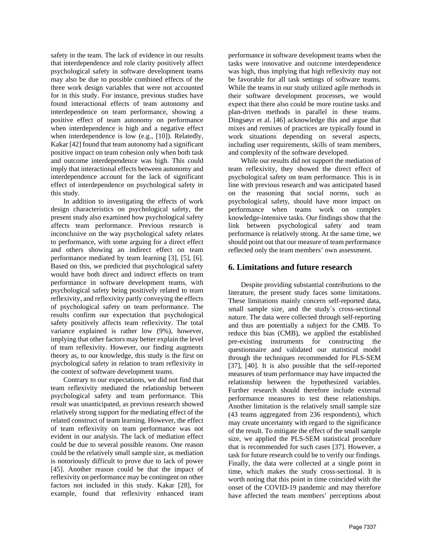safety in the team. The lack of evidence in our results that interdependence and role clarity positively affect psychological safety in software development teams may also be due to possible combined effects of the three work design variables that were not accounted for in this study. For instance, previous studies have found interactional effects of team autonomy and interdependence on team performance, showing a positive effect of team autonomy on performance when interdependence is high and a negative effect when interdependence is low (e.g., [10]). Relatedly, Kakar [42] found that team autonomy had a significant positive impact on team cohesion only when both task and outcome interdependence was high. This could imply that interactional effects between autonomy and interdependence account for the lack of significant effect of interdependence on psychological safety in this study.

In addition to investigating the effects of work design characteristics on psychological safety, the present study also examined how psychological safety affects team performance. Previous research is inconclusive on the way psychological safety relates to performance, with some arguing for a direct effect and others showing an indirect effect on team performance mediated by team learning [3], [5], [6]. Based on this, we predicted that psychological safety would have both direct and indirect effects on team performance in software development teams, with psychological safety being positively related to team reflexivity, and reflexivity partly conveying the effects of psychological safety on team performance. The results confirm our expectation that psychological safety positively affects team reflexivity. The total variance explained is rather low (9%), however, implying that other factors may better explain the level of team reflexivity. However, our finding augments theory as, to our knowledge, this study is the first on psychological safety in relation to team reflexivity in the context of software development teams.

Contrary to our expectations, we did not find that team reflexivity mediated the relationship between psychological safety and team performance. This result was unanticipated, as previous research showed relatively strong support for the mediating effect of the related construct of team learning. However, the effect of team reflexivity on team performance was not evident in our analysis. The lack of mediation effect could be due to several possible reasons. One reason could be the relatively small sample size, as mediation is notoriously difficult to prove due to lack of power [45]. Another reason could be that the impact of reflexivity on performance may be contingent on other factors not included in this study. Kakar [28], for example, found that reflexivity enhanced team

performance in software development teams when the tasks were innovative and outcome interdependence was high, thus implying that high reflexivity may not be favorable for all task settings of software teams. While the teams in our study utilized agile methods in their software development processes, we would expect that there also could be more routine tasks and plan-driven methods in parallel in these teams. Dingsøyr et al. [46] acknowledge this and argue that mixes and remixes of practices are typically found in work situations depending on several aspects, including user requirements, skills of team members, and complexity of the software developed.

While our results did not support the mediation of team reflexivity, they showed the direct effect of psychological safety on team performance. This is in line with previous research and was anticipated based on the reasoning that social norms, such as psychological safety, should have more impact on performance when teams work on complex knowledge-intensive tasks. Our findings show that the link between psychological safety and team performance is relatively strong. At the same time, we should point out that our measure of team performance reflected only the team members' own assessment.

## **6. Limitations and future research**

Despite providing substantial contributions to the literature, the present study faces some limitations. These limitations mainly concern self-reported data, small sample size, and the study´s cross-sectional nature. The data were collected through self-reporting and thus are potentially a subject for the CMB. To reduce this bias (CMB), we applied the established pre-existing instruments for constructing the questionnaire and validated our statistical model through the techniques recommended for PLS-SEM [37], [40]. It is also possible that the self-reported measures of team performance may have impacted the relationship between the hypothesized variables. Further research should therefore include external performance measures to test these relationships. Another limitation is the relatively small sample size (43 teams aggregated from 236 respondents), which may create uncertainty with regard to the significance of the result. To mitigate the effect of the small sample size, we applied the PLS-SEM statistical procedure that is recommended for such cases [37]. However, a task for future research could be to verify our findings. Finally, the data were collected at a single point in time, which makes the study cross-sectional. It is worth noting that this point in time coincided with the onset of the COVID-19 pandemic and may therefore have affected the team members' perceptions about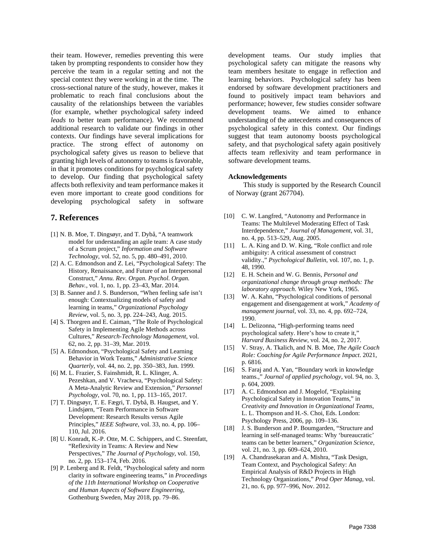their team. However, remedies preventing this were taken by prompting respondents to consider how they perceive the team in a regular setting and not the special context they were working in at the time. The cross-sectional nature of the study, however, makes it problematic to reach final conclusions about the causality of the relationships between the variables (for example, whether psychological safety indeed *leads* to better team performance). We recommend additional research to validate our findings in other contexts. Our findings have several implications for practice. The strong effect of autonomy on psychological safety gives us reason to believe that granting high levels of autonomy to teams is favorable, in that it promotes conditions for psychological safety to develop. Our finding that psychological safety affects both reflexivity and team performance makes it even more important to create good conditions for developing psychological safety in software

## **7. References**

- [1] N. B. Moe, T. Dingsøyr, and T. Dybå, "A teamwork model for understanding an agile team: A case study of a Scrum project," *Information and Software Technology*, vol. 52, no. 5, pp. 480–491, 2010.
- [2] A. C. Edmondson and Z. Lei, "Psychological Safety: The History, Renaissance, and Future of an Interpersonal Construct," *Annu. Rev. Organ. Psychol. Organ. Behav.*, vol. 1, no. 1, pp. 23–43, Mar. 2014.
- [3] B. Sanner and J. S. Bunderson, "When feeling safe isn't enough: Contextualizing models of safety and learning in teams," *Organizational Psychology Review*, vol. 5, no. 3, pp. 224–243, Aug. 2015.
- [4] S. Thorgren and E. Caiman, "The Role of Psychological Safety in Implementing Agile Methods across Cultures," *Research-Technology Management*, vol. 62, no. 2, pp. 31–39, Mar. 2019.
- [5] A. Edmondson, "Psychological Safety and Learning Behavior in Work Teams," *Administrative Science Quarterly*, vol. 44, no. 2, pp. 350–383, Jun. 1999.
- [6] M. L. Frazier, S. Fainshmidt, R. L. Klinger, A. Pezeshkan, and V. Vracheva, "Psychological Safety: A Meta-Analytic Review and Extension," *Personnel Psychology*, vol. 70, no. 1, pp. 113–165, 2017.
- [7] T. Dingsøyr, T. E. Fægri, T. Dybå, B. Haugset, and Y. Lindsjørn, "Team Performance in Software Development: Research Results versus Agile Principles," *IEEE Software*, vol. 33, no. 4, pp. 106– 110, Jul. 2016.
- [8] U. Konradt, K.-P. Otte, M. C. Schippers, and C. Steenfatt, "Reflexivity in Teams: A Review and New Perspectives," *The Journal of Psychology*, vol. 150, no. 2, pp. 153–174, Feb. 2016.
- [9] P. Lenberg and R. Feldt, "Psychological safety and norm clarity in software engineering teams," in *Proceedings of the 11th International Workshop on Cooperative and Human Aspects of Software Engineering*, Gothenburg Sweden, May 2018, pp. 79–86.

development teams. Our study implies that psychological safety can mitigate the reasons why team members hesitate to engage in reflection and learning behaviors. Psychological safety has been endorsed by software development practitioners and found to positively impact team behaviors and performance; however, few studies consider software development teams. We aimed to enhance understanding of the antecedents and consequences of psychological safety in this context. Our findings suggest that team autonomy boosts psychological safety, and that psychological safety again positively affects team reflexivity and team performance in software development teams.

#### **Acknowledgements**

This study is supported by the Research Council of Norway (grant 267704).

- [10] C. W. Langfred, "Autonomy and Performance in Teams: The Multilevel Moderating Effect of Task Interdependence," *Journal of Management*, vol. 31, no. 4, pp. 513–529, Aug. 2005.
- [11] L. A. King and D. W. King, "Role conflict and role ambiguity: A critical assessment of construct validity.," *Psychological Bulletin*, vol. 107, no. 1, p. 48, 1990.
- [12] E. H. Schein and W. G. Bennis, *Personal and organizational change through group methods: The laboratory approach*. Wiley New York, 1965.
- [13] W. A. Kahn, "Psychological conditions of personal engagement and disengagement at work," *Academy of management journal*, vol. 33, no. 4, pp. 692–724, 1990.
- [14] L. Delizonna, "High-performing teams need psychological safety. Here's how to create it," *Harvard Business Review*, vol. 24, no. 2, 2017.
- [15] V. Stray, A. Tkalich, and N. B. Moe, *The Agile Coach Role: Coaching for Agile Performance Impact*. 2021, p. 6816.
- [16] S. Faraj and A. Yan, "Boundary work in knowledge teams.," *Journal of applied psychology*, vol. 94, no. 3, p. 604, 2009.
- [17] A. C. Edmondson and J. Mogelof, "Explaining" Psychological Safety in Innovation Teams," in *Creativity and Innovation in Organizational Teams*, L. L. Thompson and H.-S. Choi, Eds. London: Psychology Press, 2006, pp. 109–136.
- [18] J. S. Bunderson and P. Boumgarden, "Structure and learning in self-managed teams: Why 'bureaucratic' teams can be better learners," *Organization Science*, vol. 21, no. 3, pp. 609–624, 2010.
- [19] A. Chandrasekaran and A. Mishra, "Task Design, Team Context, and Psychological Safety: An Empirical Analysis of R&D Projects in High Technology Organizations," *Prod Oper Manag*, vol. 21, no. 6, pp. 977–996, Nov. 2012.